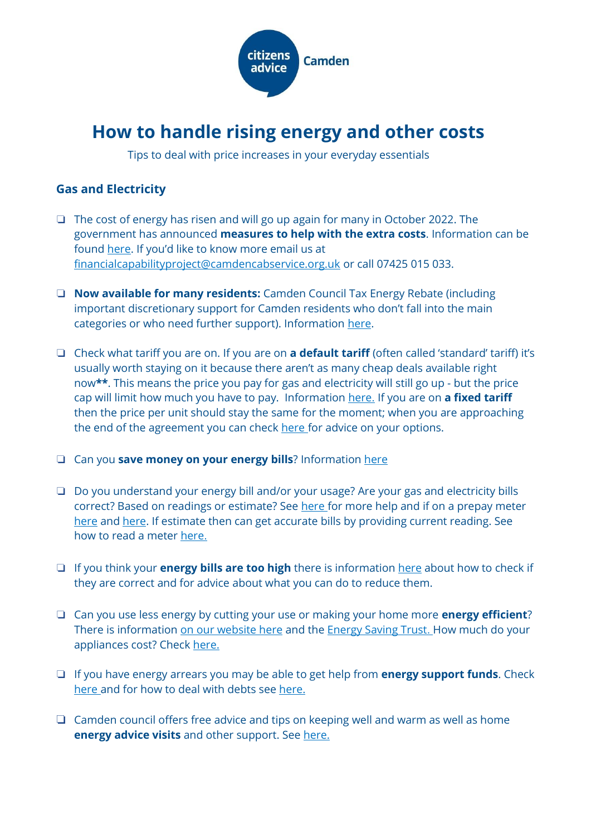

# **How to handle rising energy and other costs**

Tips to deal with price increases in your everyday essentials

## **Gas and Electricity**

- ❏ The cost of energy has risen and will go up again for many in October 2022. The government has announced **measures to help with the extra costs**. Information can be found [here](https://www.ofgem.gov.uk/find-schemes-grants-and-benefits-help-home-energy). If you'd like to know more email us at [financialcapabilityproject@camdencabservice.org.uk](mailto:financialcapabilityproject@camdencabservice.org.uk) or call 07425 015 033.
- ❏ **Now available for many residents:** Camden Council Tax Energy Rebate (including important discretionary support for Camden residents who don't fall into the main categories or who need further support). Information [here.](https://www.camden.gov.uk/council-tax-energy-rebate)
- ❏ Check what tariff you are on. If you are on **a default tariff** (often called 'standard' tariff) it's usually worth staying on it because there aren't as many cheap deals available right now**\*\***. This means the price you pay for gas and electricity will still go up - but the price cap will limit how much you have to pay. Information [here](https://www.citizensadvice.org.uk/consumer/energy/energy-supply/get-a-better-energy-deal/switching-energy-supplier/). If you are on **a fixed tariff** then the price per unit should stay the same for the moment; when you are approaching the end of the agreement you can check [here](https://www.citizensadvice.org.uk/consumer/energy/energy-supply/get-a-better-energy-deal/switching-energy-supplier/) for advice on your options.
- ❏ Can you **save money on your energy bills**? Information [here](https://www.citizensadvice.org.uk/consumer/energy/energy-supply/get-a-better-energy-deal/save-money-on-your-gas-and-electricity/#h-check-your-heaters-and-meters-are-set-up-right)
- ❏ Do you understand your energy bill and/or your usage? Are your gas and electricity bills correct? Based on readings or estimate? See [here](https://energysavingtrust.org.uk/how-to-understand-your-energy-bill/) for more help and if on a prepay meter [here](https://www.cse.org.uk/advice/advice-and-support/prepayment-meters#Understanding%20your%20prepayment%20meter) and [here.](https://www.citizensadvice.org.uk/consumer/energy/energy-supply/get-help-paying-your-bills/you-cant-afford-to-top-up-your-prepayment-meter/) If estimate then can get accurate bills by providing current reading. See how to read a meter [here](https://www.citizensadvice.org.uk/consumer/energy/energy-supply/your-energy-meter/how-to-read-your-energy-meter/).
- ❏ If you think your **energy bills are too high** there is information [here](https://www.citizensadvice.org.uk/consumer/energy/energy-supply/problems-with-your-energy-bill/energy-bill-too-high/) about how to check if they are correct and for advice about what you can do to reduce them.
- ❏ Can you use less energy by cutting your use or making your home more **energy efficient**? There is information [on our website here](https://www.citizensadvice.org.uk/consumer/energy/energy-supply/get-a-better-energy-deal/save-money-on-your-gas-and-electricity/) and the [Energy Saving Trust](https://energysavingtrust.org.uk/hub/quick-tips-to-save-energy/). How much do your appliances cost? Check [here.](https://www.citizensadvice.org.uk/consumer/energy/energy-supply/get-help-paying-your-bills/check-how-much-your-electrical-appliances-cost-to-use/)
- ❏ If you have energy arrears you may be able to get help from **energy support funds**. Check [here](https://www.citizensadvice.org.uk/consumer/energy/energy-supply/get-help-paying-your-bills/grants-and-benefits-to-help-you-pay-your-energy-bills/#Grants_To_Help_Pay_Energy_Debts) and for how to deal with debts see [here.](https://www.citizensadvice.org.uk/debt-and-money/help-with-debt/)
- ❏ Camden council offers free advice and tips on keeping well and warm as well as home **energy advice visits** and other support. See [here.](https://www.camden.gov.uk/energy-efficiency-grants)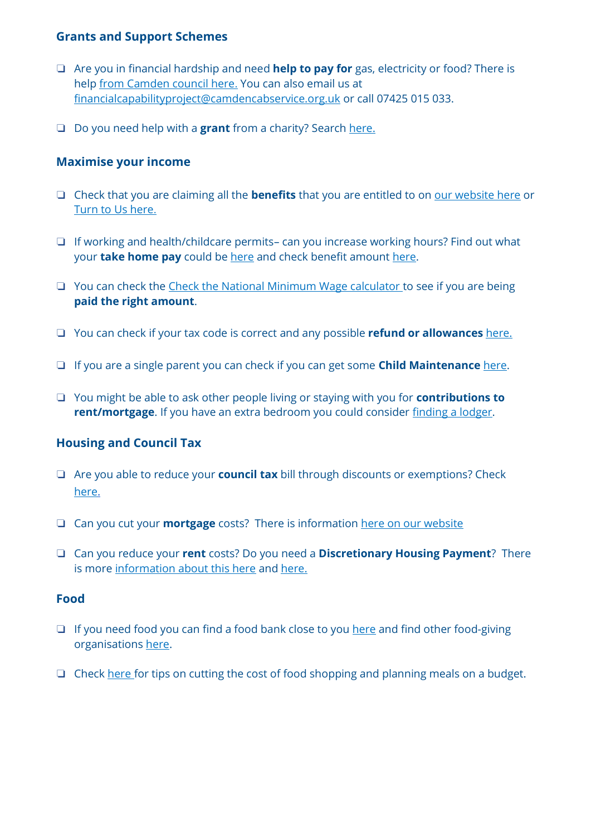## **Grants and Support Schemes**

- ❏ Are you in financial hardship and need **help to pay for** gas, electricity or food? There is help [from Camden council here](https://www.camden.gov.uk/financial-support-for-residents1#mkge). You can also email us at [financialcapabilityproject@camdencabservice.org.uk](mailto:financialcapabilityproject@camdencabservice.org.uk) or call 07425 015 033[.](https://www.camdencabservice.org.uk/about-us/our-projects/)
- ❏ Do you need help with a **grant** from a charity? Search [here.](https://grants-search.turn2us.org.uk/)

#### **Maximise your income**

- ❏ Check that you are claiming all the **benefits** that you are entitled to on [our website here](https://www.citizensadvice.org.uk/benefits/benefits-introduction/what-benefits-can-i-get/) or [Turn to Us here](https://benefits-calculator.turn2us.org.uk/AboutYou).
- ❏ If working and health/childcare permits– can you increase working hours? Find out what your **take home pay** could be [here](https://www.gov.uk/estimate-income-tax) and check benefit amount [here.](https://benefits-calculator.turn2us.org.uk/AboutYou)
- ❏ You can check the [Check the National Minimum Wage calculator](https://www.gov.uk/am-i-getting-minimum-wage) to see if you are being **paid the right amount**.
- ❏ You can check if your tax code is correct and any possible **refund or allowances** [here.](https://www.moneyhelper.org.uk/en/work/employment/understanding-your-payslip)
- ❏ If you are a single parent you can check if you can get some **Child Maintenance** [here.](https://www.citizensadvice.org.uk/family/children-and-young-people/child-maintenance1/)
- ❏ You might be able to ask other people living or staying with you for **contributions to rent/mortgage**. If you have an extra bedroom you could consider [finding a lodger.](https://www.citizensadvice.org.uk/housing/renting-a-home/subletting-and-lodging/subletting/subletting-your-home-what-you-need-to-think-about-first/)

## **Housing and Council Tax**

- ❏ Are you able to reduce your **council tax** bill through discounts or exemptions? Check [here.](https://www.camden.gov.uk/council-tax-discounts-exemptions)
- ❏ Can you cut your **mortgage** costs? There is information [here on our website](https://www.citizensadvice.org.uk/debt-and-money/mortgage-problems/how-to-sort-out-your-mortgage-problems/cutting-down-your-mortgage-costs/)
- ❏ Can you reduce your **rent** costs? Do you need a **Discretionary Housing Payment**? There is more [information about this here](https://www.citizensadvice.org.uk/housing/renting-privately/private-renting/get-help-with-renting-costs/) and [here.](https://www.camden.gov.uk/help-housing-costs)

#### **Food**

- ❏ If you need food you can find a food bank close to you [here](https://www.trusselltrust.org/get-help/find-a-foodbank/) and find other food-giving organisations [here.](https://findfood.camden.gov.uk/camden-food?lat=51.52839&lon=-0.142635)
- ❏ Check [here](https://www.moneyhelper.org.uk/en/blog/supermarket-savings/five-ways-to-save-at-the-supermarket) for tips on cutting the cost of food shopping and planning meals on a budget.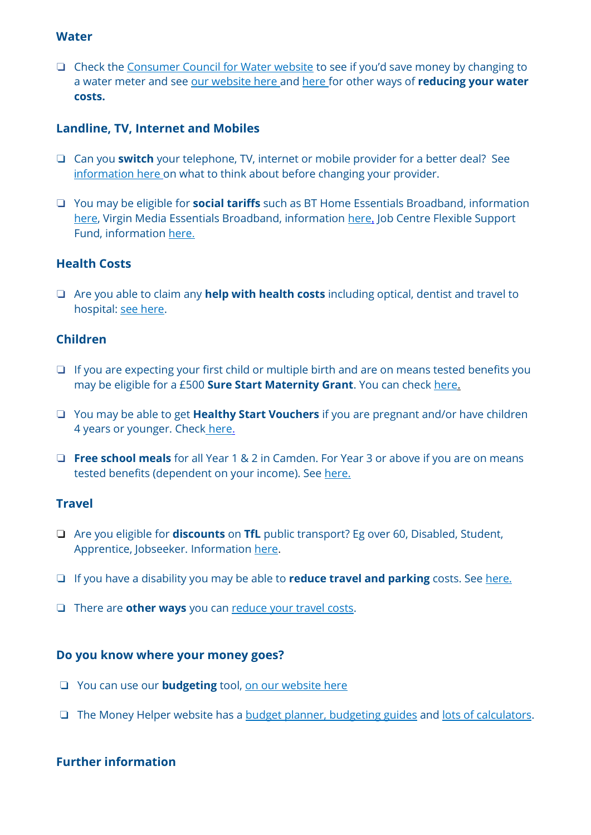#### **Water**

❏ Check the [Consumer Council for Water website](http://www.ccwater.org.uk/) to see if you'd save money by changing to a water meter and see [our website here](https://www.citizensadvice.org.uk/consumer/water/water-supply/problems-with-paying-your-water-bill/help-with-paying-your-water-bills/) and [here](https://www.thameswater.co.uk/help/account-and-billing/financial-support/waterhelp) for other ways of **reducing your water costs.**

## **Landline, TV, Internet and Mobiles**

- ❏ Can you **switch** your telephone, TV, internet or mobile provider for a better deal? Se[e](https://www.citizensadvice.org.uk/consumer/phone-internet-downloads-or-tv/switch-broadband-phone-or-tv-provider/) i[nformation here](https://www.citizensadvice.org.uk/consumer/phone-internet-downloads-or-tv/switch-broadband-phone-or-tv-provider/) on what to think about before changing your provider.
- ❏ You may be eligible for **social tariffs** such as BT Home Essentials Broadband, information [here,](https://www.bt.com/exp/broadband/home-essentials) Virgin Media Essentials Broadband, information [here](https://www.virginmedia.com/help/essential-bb), Job Centre Flexible Support Fund, information [here](https://www.talktalkgroup.com/article/talktalkgroup/2021/Talktalk-DWP-free-broadband-jobseekers).

#### **Health Costs**

❏ Are you able to claim any **help with health costs** including optical, dentist and travel to hospital: [see here.](https://www.citizensadvice.org.uk/health/help-with-health-costs/help-with-health-costs/)

#### **Children**

- ❏ If you are expecting your first child or multiple birth and are on means tested benefits you may be eligible for a £500 **Sure Start Maternity Grant**. You can check [here](https://www.gov.uk/sure-start-maternity-grant).
- ❏ You may be able to get **Healthy Start Vouchers** if you are pregnant and/or have children 4 years or younger. Check [here](https://www.gov.uk/healthy-start).
- ❏ **Free school meals** for all Year 1 & 2 in Camden. For Year 3 or above if you are on means tested benefits (dependent on your income). See [here.](https://www.camden.gov.uk/free-school-meals)

#### **Travel**

- ❏ Are you eligible for **discounts** on **TfL** public transport? Eg over 60, Disabled, Student, Apprentice, Jobseeker. Information [here](https://tfl.gov.uk/fares/free-and-discounted-travel?intcmp=54647).
- ❏ If you have a disability you may be able to **reduce travel and parking** costs. See [here.](https://www.camden.gov.uk/disabled-older-persons-travel)
- ❏ There are **other ways** you can [reduce your travel costs.](https://www.moneyhelper.org.uk/en/everyday-money/buying-and-running-a-car/cut-your-car-and-train-costs?source=mas)

## **Do you know where your money goes?**

- ❏ You can use our **budgeting** tool, [on our website here](https://www.citizensadvice.org.uk/debt-and-money/budgeting/budgeting/work-out-your-budget/)
- ❏ The Money Helper website has a budget [planner, budgeting guides](https://www.moneyhelper.org.uk/en/everyday-money/budgeting?source=mas) and [lots of calculators.](https://www.moneyhelper.org.uk/en/tools-and-calculators?source=mas)

## **Further information**